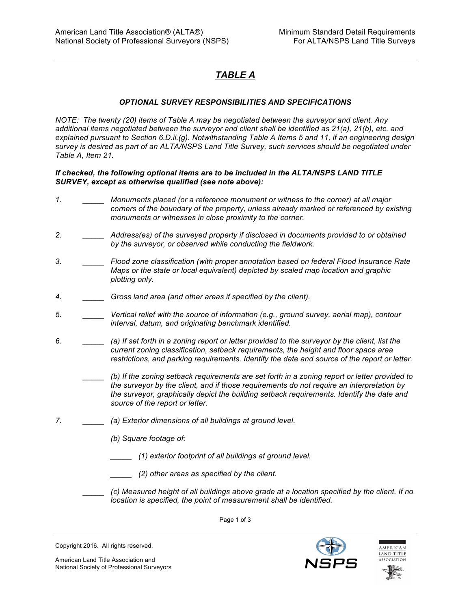## *TABLE A*

## *OPTIONAL SURVEY RESPONSIBILITIES AND SPECIFICATIONS*

*NOTE: The twenty (20) items of Table A may be negotiated between the surveyor and client. Any additional items negotiated between the surveyor and client shall be identified as 21(a), 21(b), etc. and explained pursuant to Section 6.D.ii.(g). Notwithstanding Table A Items 5 and 11, if an engineering design survey is desired as part of an ALTA/NSPS Land Title Survey, such services should be negotiated under Table A, Item 21.* 

## *If checked, the following optional items are to be included in the ALTA/NSPS LAND TITLE SURVEY, except as otherwise qualified (see note above):*

- *1. \_\_\_\_\_ Monuments placed (or a reference monument or witness to the corner) at all major corners of the boundary of the property, unless already marked or referenced by existing monuments or witnesses in close proximity to the corner.*
- *2. \_\_\_\_\_ Address(es) of the surveyed property if disclosed in documents provided to or obtained by the surveyor, or observed while conducting the fieldwork.*
- *3. \_\_\_\_\_ Flood zone classification (with proper annotation based on federal Flood Insurance Rate Maps or the state or local equivalent) depicted by scaled map location and graphic plotting only.*
- *4. \_\_\_\_\_ Gross land area (and other areas if specified by the client).*
- *5. \_\_\_\_\_ Vertical relief with the source of information (e.g., ground survey, aerial map), contour interval, datum, and originating benchmark identified.*
- *6. \_\_\_\_\_ (a) If set forth in a zoning report or letter provided to the surveyor by the client, list the current zoning classification, setback requirements, the height and floor space area restrictions, and parking requirements. Identify the date and source of the report or letter.*
	- *\_\_\_\_\_ (b) If the zoning setback requirements are set forth in a zoning report or letter provided to the surveyor by the client, and if those requirements do not require an interpretation by the surveyor, graphically depict the building setback requirements. Identify the date and source of the report or letter.*
- *7. \_\_\_\_\_ (a) Exterior dimensions of all buildings at ground level.*
	- *(b) Square footage of:*
		- *\_\_\_\_\_ (1) exterior footprint of all buildings at ground level.*
	- *\_\_\_\_\_ (2) other areas as specified by the client.*
	- *\_\_\_\_\_ (c) Measured height of all buildings above grade at a location specified by the client. If no location is specified, the point of measurement shall be identified.*

Page 1 of 3



American Land Title Association and National Society of Professional Surveyors



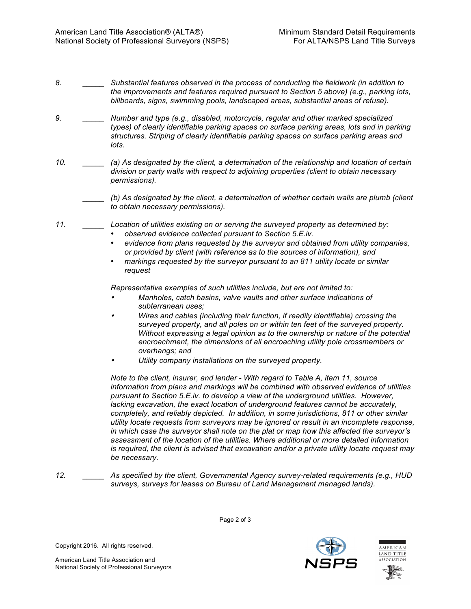- *8. \_\_\_\_\_ Substantial features observed in the process of conducting the fieldwork (in addition to the improvements and features required pursuant to Section 5 above) (e.g., parking lots, billboards, signs, swimming pools, landscaped areas, substantial areas of refuse).*
- *9. \_\_\_\_\_ Number and type (e.g., disabled, motorcycle, regular and other marked specialized types) of clearly identifiable parking spaces on surface parking areas, lots and in parking structures. Striping of clearly identifiable parking spaces on surface parking areas and lots.*
- *10. \_\_\_\_\_ (a) As designated by the client, a determination of the relationship and location of certain division or party walls with respect to adjoining properties (client to obtain necessary permissions).*
	- *\_\_\_\_\_ (b) As designated by the client, a determination of whether certain walls are plumb (client to obtain necessary permissions).*
- *11. \_\_\_\_\_ Location of utilities existing on or serving the surveyed property as determined by:*
	- *observed evidence collected pursuant to Section 5.E.iv.*
	- *evidence from plans requested by the surveyor and obtained from utility companies, or provided by client (with reference as to the sources of information), and*
	- *markings requested by the surveyor pursuant to an 811 utility locate or similar request*

*Representative examples of such utilities include, but are not limited to:*

- • *Manholes, catch basins, valve vaults and other surface indications of subterranean uses;*
- • *Wires and cables (including their function, if readily identifiable) crossing the surveyed property, and all poles on or within ten feet of the surveyed property. Without expressing a legal opinion as to the ownership or nature of the potential encroachment, the dimensions of all encroaching utility pole crossmembers or overhangs; and*
- •*Utility company installations on the surveyed property.*

*Note to the client, insurer, and lender - With regard to Table A, item 11, source information from plans and markings will be combined with observed evidence of utilities pursuant to Section 5.E.iv. to develop a view of the underground utilities. However, lacking excavation, the exact location of underground features cannot be accurately, completely, and reliably depicted. In addition, in some jurisdictions, 811 or other similar utility locate requests from surveyors may be ignored or result in an incomplete response, in which case the surveyor shall note on the plat or map how this affected the surveyor's assessment of the location of the utilities. Where additional or more detailed information is required, the client is advised that excavation and/or a private utility locate request may be necessary.*

*12. \_\_\_\_\_ As specified by the client, Governmental Agency survey-related requirements (e.g., HUD surveys, surveys for leases on Bureau of Land Management managed lands).*

Copyright 2016. All rights reserved.

American Land Title Association and National Society of Professional Surveyors





Page 2 of 3